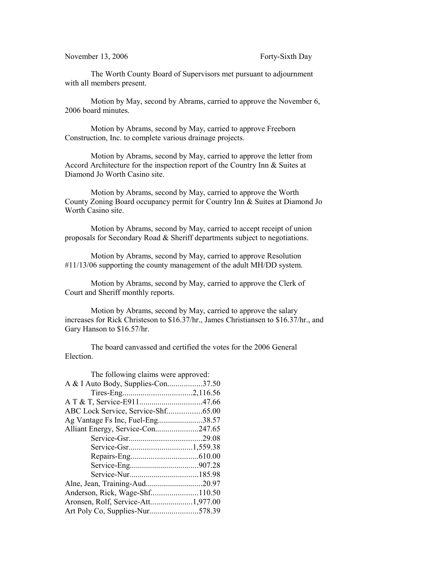November 13, 2006 Forty-Sixth Day

The Worth County Board of Supervisors met pursuant to adjournment with all members present.

Motion by May, second by Abrams, carried to approve the November 6, 2006 board minutes.

Motion by Abrams, second by May, carried to approve Freeborn Construction, Inc. to complete various drainage projects.

Motion by Abrams, second by May, carried to approve the letter from Accord Architecture for the inspection report of the Country Inn & Suites at Diamond Jo Worth Casino site.

Motion by Abrams, second by May, carried to approve the Worth County Zoning Board occupancy permit for Country Inn & Suites at Diamond Jo Worth Casino site.

Motion by Abrams, second by May, carried to accept receipt of union proposals for Secondary Road & Sheriff departments subject to negotiations.

Motion by Abrams, second by May, carried to approve Resolution #11/13/06 supporting the county management of the adult MH/DD system.

Motion by Abrams, second by May, carried to approve the Clerk of Court and Sheriff monthly reports.

Motion by Abrams, second by May, carried to approve the salary increases for Rick Christeson to \$16.37/hr., James Christiansen to \$16.37/hr., and Gary Hanson to \$16.57/hr.

The board canvassed and certified the votes for the 2006 General Election.

| The following claims were approved: |
|-------------------------------------|
| A & I Auto Body, Supplies-Con37.50  |
|                                     |
|                                     |
| ABC Lock Service, Service-Shf65.00  |
| Ag Vantage Fs Inc, Fuel-Eng38.57    |
| Alliant Energy, Service-Con247.65   |
|                                     |
|                                     |
|                                     |
|                                     |
|                                     |
|                                     |
|                                     |
|                                     |
| Art Poly Co, Supplies-Nur578.39     |
|                                     |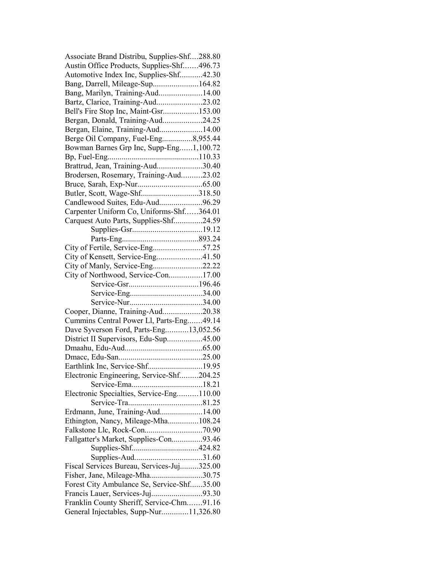| Associate Brand Distribu, Supplies-Shf288.80 |  |
|----------------------------------------------|--|
| Austin Office Products, Supplies-Shf496.73   |  |
| Automotive Index Inc, Supplies-Shf42.30      |  |
| Bang, Darrell, Mileage-Sup164.82             |  |
| Bang, Marilyn, Training-Aud14.00             |  |
| Bartz, Clarice, Training-Aud23.02            |  |
| Bell's Fire Stop Inc, Maint-Gsr153.00        |  |
| Bergan, Donald, Training-Aud24.25            |  |
| Bergan, Elaine, Training-Aud14.00            |  |
| Berge Oil Company, Fuel-Eng8,955.44          |  |
| Bowman Barnes Grp Inc, Supp-Eng1,100.72      |  |
|                                              |  |
| Brattrud, Jean, Training-Aud30.40            |  |
| Brodersen, Rosemary, Training-Aud23.02       |  |
|                                              |  |
|                                              |  |
| Butler, Scott, Wage-Shf318.50                |  |
| Candlewood Suites, Edu-Aud96.29              |  |
| Carpenter Uniform Co, Uniforms-Shf364.01     |  |
| Carquest Auto Parts, Supplies-Shf24.59       |  |
|                                              |  |
|                                              |  |
| City of Fertile, Service-Eng57.25            |  |
| City of Kensett, Service-Eng41.50            |  |
| City of Manly, Service-Eng22.22              |  |
| City of Northwood, Service-Con17.00          |  |
|                                              |  |
|                                              |  |
|                                              |  |
| Cooper, Dianne, Training-Aud20.38            |  |
| Cummins Central Power Ll, Parts-Eng49.14     |  |
| Dave Syverson Ford, Parts-Eng13,052.56       |  |
| District II Supervisors, Edu-Sup45.00        |  |
|                                              |  |
|                                              |  |
| Earthlink Inc, Service-Shf19.95              |  |
|                                              |  |
| Electronic Engineering, Service-Shf204.25    |  |
|                                              |  |
| Electronic Specialties, Service-Eng110.00    |  |
|                                              |  |
| Erdmann, June, Training-Aud14.00             |  |
| Ethington, Nancy, Mileage-Mha108.24          |  |
|                                              |  |
| Fallgatter's Market, Supplies-Con93.46       |  |
|                                              |  |
|                                              |  |
| Fiscal Services Bureau, Services-Juj325.00   |  |
| Fisher, Jane, Mileage-Mha30.75               |  |
| Forest City Ambulance Se, Service-Shf35.00   |  |
| Francis Lauer, Services-Juj93.30             |  |
| Franklin County Sheriff, Service-Chm91.16    |  |
| General Injectables, Supp-Nur11,326.80       |  |
|                                              |  |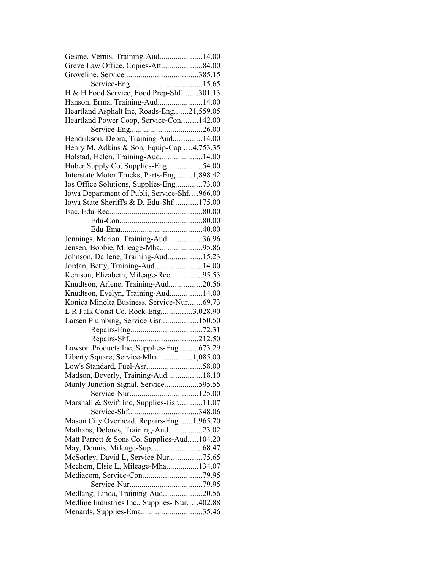| Gesme, Vernis, Training-Aud14.00                                         |  |
|--------------------------------------------------------------------------|--|
| Greve Law Office, Copies-Att84.00                                        |  |
|                                                                          |  |
|                                                                          |  |
| H & H Food Service, Food Prep-Shf301.13                                  |  |
| Hanson, Erma, Training-Aud14.00                                          |  |
| Heartland Asphalt Inc, Roads-Eng21,559.05                                |  |
| Heartland Power Coop, Service-Con142.00                                  |  |
|                                                                          |  |
| Hendrikson, Debra, Training-Aud14.00                                     |  |
| Henry M. Adkins & Son, Equip-Cap4,753.35                                 |  |
| Holstad, Helen, Training-Aud14.00                                        |  |
| Huber Supply Co, Supplies-Eng54.00                                       |  |
| Interstate Motor Trucks, Parts-Eng1,898.42                               |  |
| Ios Office Solutions, Supplies-Eng73.00                                  |  |
| Iowa Department of Publi, Service-Shf966.00                              |  |
| Iowa State Sheriff's & D, Edu-Shf175.00                                  |  |
|                                                                          |  |
|                                                                          |  |
|                                                                          |  |
| Jennings, Marian, Training-Aud36.96                                      |  |
| Jensen, Bobbie, Mileage-Mha95.86                                         |  |
|                                                                          |  |
| Johnson, Darlene, Training-Aud15.23                                      |  |
| Jordan, Betty, Training-Aud14.00<br>Kenison, Elizabeth, Mileage-Rec95.53 |  |
|                                                                          |  |
| Knudtson, Arlene, Training-Aud20.56                                      |  |
| Knudtson, Evelyn, Training-Aud14.00                                      |  |
| Konica Minolta Business, Service-Nur69.73                                |  |
| L R Falk Const Co, Rock-Eng3,028.90                                      |  |
| Larsen Plumbing, Service-Gsr150.50                                       |  |
|                                                                          |  |
|                                                                          |  |
| Lawson Products Inc, Supplies-Eng673.29                                  |  |
| Liberty Square, Service-Mha1,085.00                                      |  |
|                                                                          |  |
| Madson, Beverly, Training-Aud18.10                                       |  |
| Manly Junction Signal, Service595.55                                     |  |
|                                                                          |  |
| Marshall & Swift Inc, Supplies-Gsr11.07                                  |  |
|                                                                          |  |
| Mason City Overhead, Repairs-Eng1,965.70                                 |  |
| Mathahs, Delores, Training-Aud23.02                                      |  |
| Matt Parrott & Sons Co, Supplies-Aud104.20                               |  |
|                                                                          |  |
| McSorley, David L, Service-Nur75.65                                      |  |
| Mechem, Elsie L, Mileage-Mha134.07                                       |  |
|                                                                          |  |
|                                                                          |  |
| Medlang, Linda, Training-Aud20.56                                        |  |
|                                                                          |  |
| Medline Industries Inc., Supplies-Nur402.88                              |  |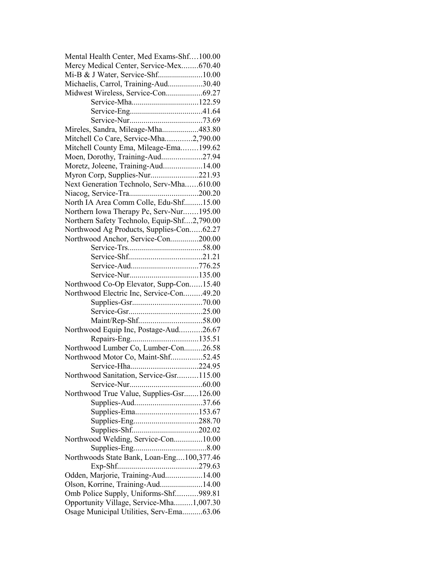| Mental Health Center, Med Exams-Shf100.00   |  |
|---------------------------------------------|--|
| Mercy Medical Center, Service-Mex670.40     |  |
| Mi-B & J Water, Service-Shf10.00            |  |
| Michaelis, Carrol, Training-Aud30.40        |  |
| Midwest Wireless, Service-Con69.27          |  |
|                                             |  |
|                                             |  |
|                                             |  |
| Mireles, Sandra, Mileage-Mha483.80          |  |
| Mitchell Co Care, Service-Mha2,790.00       |  |
|                                             |  |
| Mitchell County Ema, Mileage-Ema199.62      |  |
| Moen, Dorothy, Training-Aud27.94            |  |
| Moretz, Joleene, Training-Aud14.00          |  |
| Myron Corp, Supplies-Nur221.93              |  |
| Next Generation Technolo, Serv-Mha610.00    |  |
|                                             |  |
| North IA Area Comm Colle, Edu-Shf15.00      |  |
| Northern Iowa Therapy Pc, Serv-Nur195.00    |  |
| Northern Safety Technolo, Equip-Shf2,790.00 |  |
| Northwood Ag Products, Supplies-Con62.27    |  |
| Northwood Anchor, Service-Con200.00         |  |
|                                             |  |
|                                             |  |
|                                             |  |
|                                             |  |
| Northwood Co-Op Elevator, Supp-Con15.40     |  |
| Northwood Electric Inc, Service-Con49.20    |  |
|                                             |  |
|                                             |  |
| Maint/Rep-Shf58.00                          |  |
|                                             |  |
| Northwood Equip Inc, Postage-Aud26.67       |  |
|                                             |  |
| Northwood Lumber Co, Lumber-Con26.58        |  |
| Northwood Motor Co, Maint-Shf52.45          |  |
| Service-Hha224.95                           |  |
| Northwood Sanitation, Service-Gsr115.00     |  |
|                                             |  |
| Northwood True Value, Supplies-Gsr126.00    |  |
| Supplies-Aud37.66                           |  |
|                                             |  |
| Supplies-Eng288.70                          |  |
|                                             |  |
| Northwood Welding, Service-Con10.00         |  |
|                                             |  |
| Northwoods State Bank, Loan-Eng100,377.46   |  |
|                                             |  |
|                                             |  |
| Odden, Marjorie, Training-Aud14.00          |  |
| Olson, Korrine, Training-Aud14.00           |  |
| Omb Police Supply, Uniforms-Shf989.81       |  |
| Opportunity Village, Service-Mha1,007.30    |  |
| Osage Municipal Utilities, Serv-Ema63.06    |  |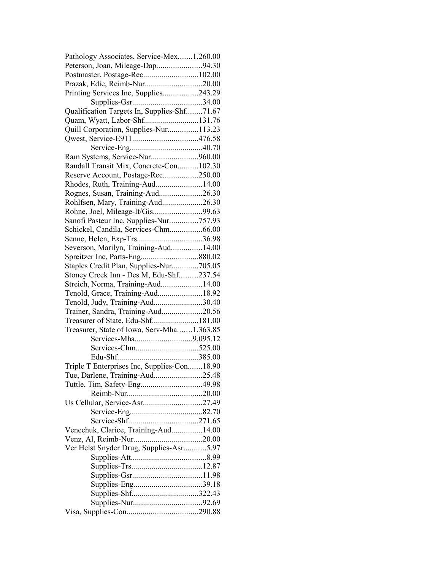| Pathology Associates, Service-Mex1,260.00   |  |
|---------------------------------------------|--|
| Peterson, Joan, Mileage-Dap94.30            |  |
| Postmaster, Postage-Rec102.00               |  |
| Prazak, Edie, Reimb-Nur20.00                |  |
| Printing Services Inc, Supplies243.29       |  |
|                                             |  |
| Qualification Targets In, Supplies-Shf71.67 |  |
| Quam, Wyatt, Labor-Shf131.76                |  |
| Quill Corporation, Supplies-Nur113.23       |  |
|                                             |  |
|                                             |  |
| Ram Systems, Service-Nur960.00              |  |
| Randall Transit Mix, Concrete-Con102.30     |  |
| Reserve Account, Postage-Rec250.00          |  |
| Rhodes, Ruth, Training-Aud14.00             |  |
| Rognes, Susan, Training-Aud26.30            |  |
| Rohlfsen, Mary, Training-Aud26.30           |  |
| Rohne, Joel, Mileage-It/Gis99.63            |  |
|                                             |  |
| Sanofi Pasteur Inc, Supplies-Nur757.93      |  |
| Schickel, Candila, Services-Chm66.00        |  |
| Senne, Helen, Exp-Trs36.98                  |  |
| Severson, Marilyn, Training-Aud14.00        |  |
|                                             |  |
| Staples Credit Plan, Supplies-Nur705.05     |  |
| Stoney Creek Inn - Des M, Edu-Shf237.54     |  |
| Streich, Norma, Training-Aud14.00           |  |
| Tenold, Grace, Training-Aud18.92            |  |
| Tenold, Judy, Training-Aud30.40             |  |
| Trainer, Sandra, Training-Aud20.56          |  |
| Treasurer of State, Edu-Shf181.00           |  |
| Treasurer, State of Iowa, Serv-Mha1,363.85  |  |
|                                             |  |
|                                             |  |
|                                             |  |
| Triple T Enterprises Inc, Supplies-Con18.90 |  |
| Tue, Darlene, Training-Aud25.48             |  |
| Tuttle, Tim, Safety-Eng49.98                |  |
|                                             |  |
| Us Cellular, Service-Asr27.49               |  |
|                                             |  |
|                                             |  |
| Venechuk, Clarice, Training-Aud14.00        |  |
|                                             |  |
| Ver Helst Snyder Drug, Supplies-Asr5.97     |  |
|                                             |  |
|                                             |  |
|                                             |  |
| Supplies-Eng39.18                           |  |
| Supplies-Shf322.43                          |  |
|                                             |  |
|                                             |  |
|                                             |  |